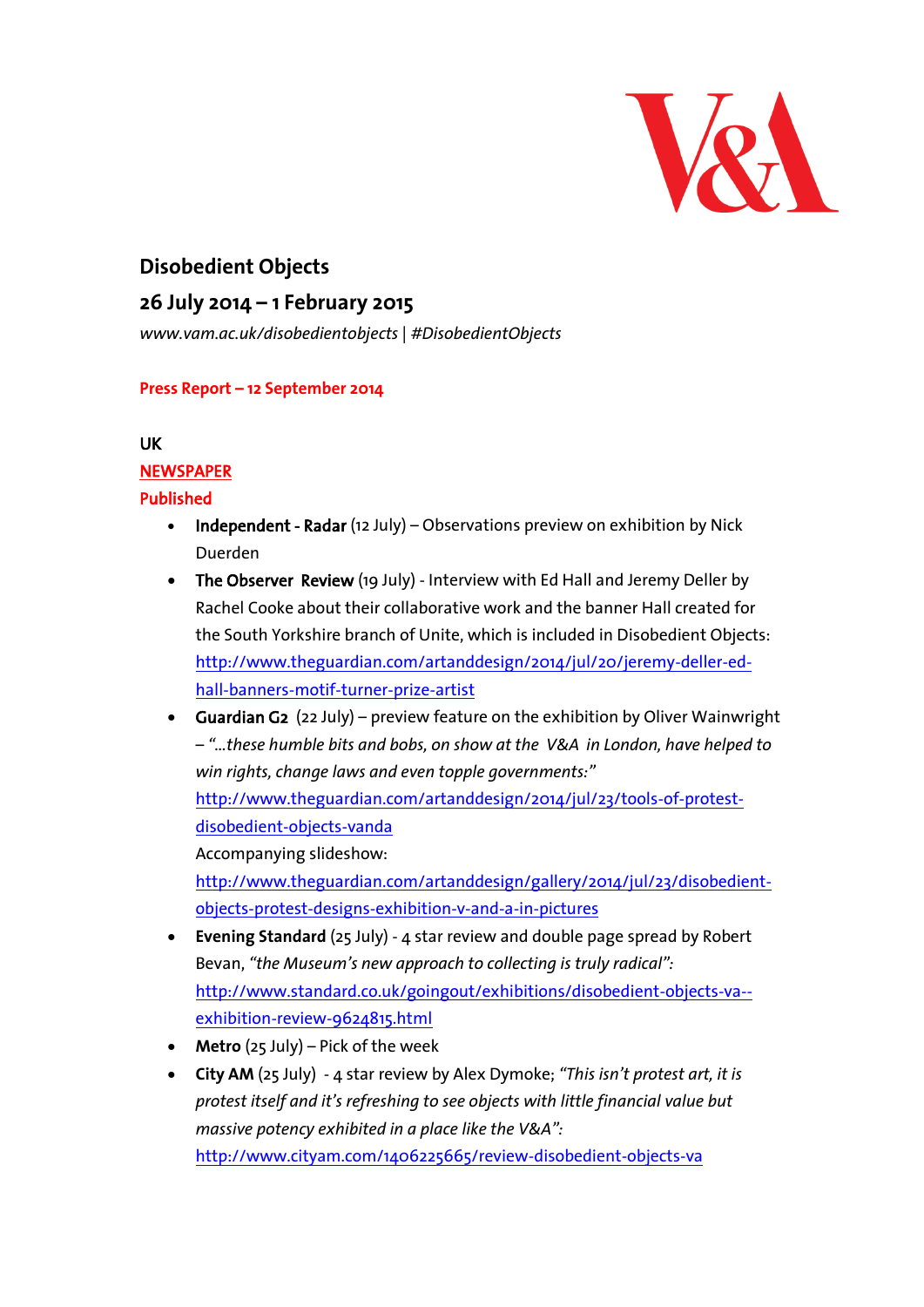

# **Disobedient Objects**

## **26 July 2014 – 1 February 2015**

*www.vam.ac.uk/disobedientobjects | #DisobedientObjects*

#### **Press Report – 12 September 2014**

#### UK

#### **NEWSPAPER**

#### Published

- Independent Radar (12 July) Observations preview on exhibition by Nick Duerden
- The Observer Review (19 July) Interview with Ed Hall and Jeremy Deller by Rachel Cooke about their collaborative work and the banner Hall created for the South Yorkshire branch of Unite, which is included in Disobedient Objects: [http://www.theguardian.com/artanddesign/2014/jul/20/jeremy-deller-ed](http://www.theguardian.com/artanddesign/2014/jul/20/jeremy-deller-ed-hall-banners-motif-turner-prize-artist)[hall-banners-motif-turner-prize-artist](http://www.theguardian.com/artanddesign/2014/jul/20/jeremy-deller-ed-hall-banners-motif-turner-prize-artist)
- Guardian G2 (22 July) preview feature on the exhibition by Oliver Wainwright – *"…these humble bits and bobs, on show at the [V&A](http://www.theguardian.com/artanddesign/v-and-a) in London, have helped to win rights, change laws and even topple governments:"*

[http://www.theguardian.com/artanddesign/2014/jul/23/tools-of-protest](http://www.theguardian.com/artanddesign/2014/jul/23/tools-of-protest-disobedient-objects-vanda)[disobedient-objects-vanda](http://www.theguardian.com/artanddesign/2014/jul/23/tools-of-protest-disobedient-objects-vanda)

Accompanying slideshow:

[http://www.theguardian.com/artanddesign/gallery/2014/jul/23/disobedient](http://www.theguardian.com/artanddesign/gallery/2014/jul/23/disobedient-objects-protest-designs-exhibition-v-and-a-in-pictures)[objects-protest-designs-exhibition-v-and-a-in-pictures](http://www.theguardian.com/artanddesign/gallery/2014/jul/23/disobedient-objects-protest-designs-exhibition-v-and-a-in-pictures)

- **Evening Standard** (25 July) 4 star review and double page spread by Robert Bevan, *"the Museum's new approach to collecting is truly radical":*  [http://www.standard.co.uk/goingout/exhibitions/disobedient-objects-va-](http://www.standard.co.uk/goingout/exhibitions/disobedient-objects-va--exhibition-review-9624815.html) [exhibition-review-9624815.html](http://www.standard.co.uk/goingout/exhibitions/disobedient-objects-va--exhibition-review-9624815.html)
- **Metro** (25 July) Pick of the week
- **City AM** (25 July) 4 star review by Alex Dymoke; *"This isn't protest art, it is protest itself and it's refreshing to see objects with little financial value but massive potency exhibited in a place like the V&A":* <http://www.cityam.com/1406225665/review-disobedient-objects-va>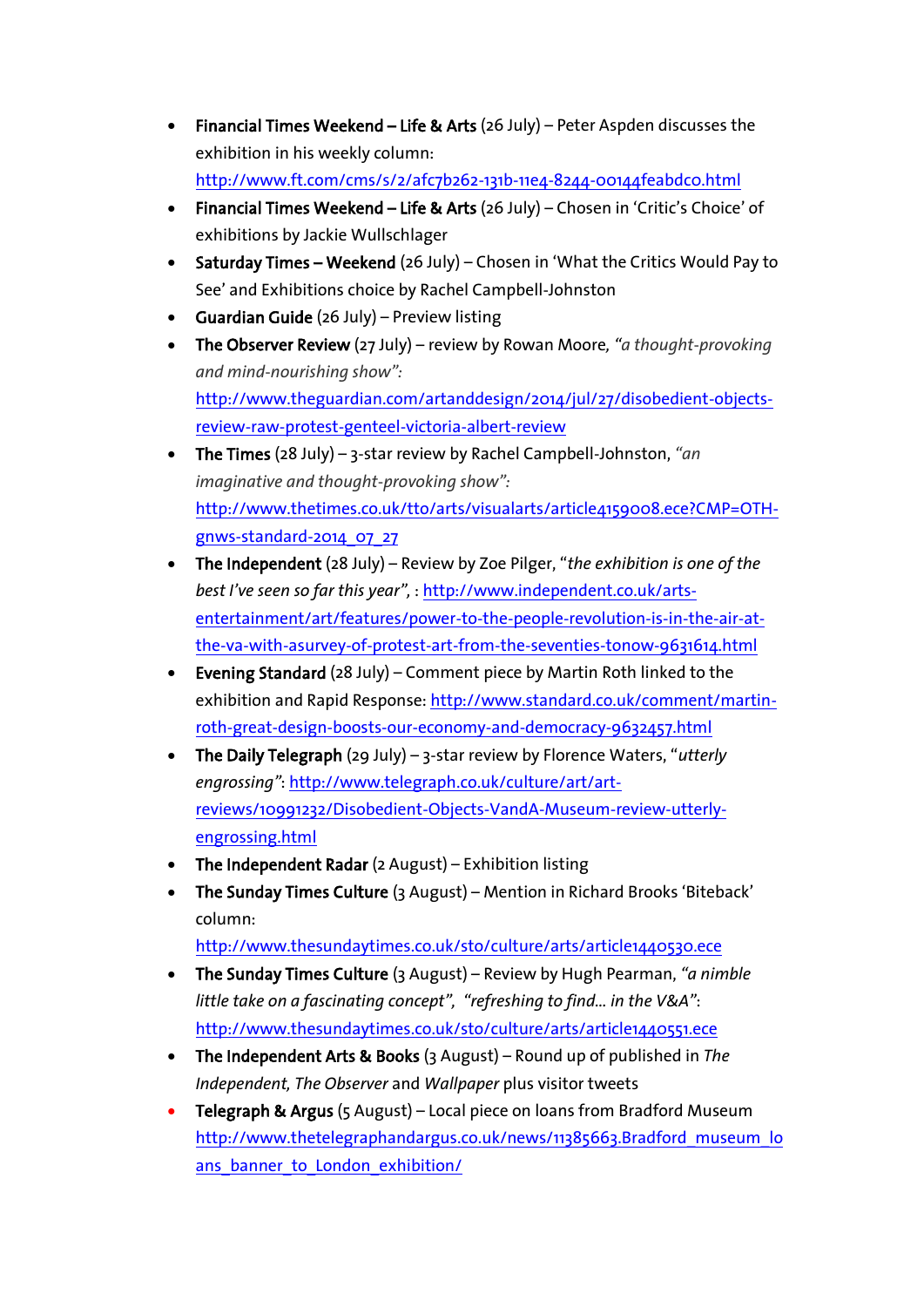- Financial Times Weekend Life & Arts (26 July) Peter Aspden discusses the exhibition in his weekly column: <http://www.ft.com/cms/s/2/afc7b262-131b-11e4-8244-00144feabdc0.html>
- Financial Times Weekend Life & Arts (26 July) Chosen in 'Critic's Choice' of exhibitions by Jackie Wullschlager
- Saturday Times Weekend (26 July) Chosen in 'What the Critics Would Pay to See' and Exhibitions choice by Rachel Campbell-Johnston
- Guardian Guide (26 July) Preview listing
- The Observer Review (27 July) review by Rowan Moore*, "a thought-provoking and mind-nourishing show":* [http://www.theguardian.com/artanddesign/2014/jul/27/disobedient-objects](http://www.theguardian.com/artanddesign/2014/jul/27/disobedient-objects-review-raw-protest-genteel-victoria-albert-review)[review-raw-protest-genteel-victoria-albert-review](http://www.theguardian.com/artanddesign/2014/jul/27/disobedient-objects-review-raw-protest-genteel-victoria-albert-review)
- The Times (28 July) 3-star review by Rachel Campbell-Johnston, *"an imaginative and thought-provoking show":* [http://www.thetimes.co.uk/tto/arts/visualarts/article4159008.ece?CMP=OTH](http://www.thetimes.co.uk/tto/arts/visualarts/article4159008.ece?CMP=OTH-gnws-standard-2014_07_27)[gnws-standard-2014\\_07\\_27](http://www.thetimes.co.uk/tto/arts/visualarts/article4159008.ece?CMP=OTH-gnws-standard-2014_07_27)
- The Independent (28 July) Review by Zoe Pilger, "*the exhibition is one of the best I've seen so far this year",* [: http://www.independent.co.uk/arts](http://www.independent.co.uk/arts-entertainment/art/features/power-to-the-people-revolution-is-in-the-air-at-the-va-with-asurvey-of-protest-art-from-the-seventies-tonow-9631614.html)[entertainment/art/features/power-to-the-people-revolution-is-in-the-air-at](http://www.independent.co.uk/arts-entertainment/art/features/power-to-the-people-revolution-is-in-the-air-at-the-va-with-asurvey-of-protest-art-from-the-seventies-tonow-9631614.html)[the-va-with-asurvey-of-protest-art-from-the-seventies-tonow-9631614.html](http://www.independent.co.uk/arts-entertainment/art/features/power-to-the-people-revolution-is-in-the-air-at-the-va-with-asurvey-of-protest-art-from-the-seventies-tonow-9631614.html)
- Evening Standard (28 July) Comment piece by Martin Roth linked to the exhibition and Rapid Response[: http://www.standard.co.uk/comment/martin](http://www.standard.co.uk/comment/martin-roth-great-design-boosts-our-economy-and-democracy-9632457.html)[roth-great-design-boosts-our-economy-and-democracy-9632457.html](http://www.standard.co.uk/comment/martin-roth-great-design-boosts-our-economy-and-democracy-9632457.html)
- The Daily Telegraph (29 July) 3-star review by Florence Waters, "*utterly engrossing"*: [http://www.telegraph.co.uk/culture/art/art](http://www.telegraph.co.uk/culture/art/art-reviews/10991232/Disobedient-Objects-VandA-Museum-review-utterly-engrossing.html)[reviews/10991232/Disobedient-Objects-VandA-Museum-review-utterly](http://www.telegraph.co.uk/culture/art/art-reviews/10991232/Disobedient-Objects-VandA-Museum-review-utterly-engrossing.html)[engrossing.html](http://www.telegraph.co.uk/culture/art/art-reviews/10991232/Disobedient-Objects-VandA-Museum-review-utterly-engrossing.html)
- The Independent Radar (2 August) Exhibition listing
- The Sunday Times Culture (3 August) Mention in Richard Brooks 'Biteback' column:

<http://www.thesundaytimes.co.uk/sto/culture/arts/article1440530.ece>

- The Sunday Times Culture (3 August) Review by Hugh Pearman, *"a nimble little take on a fascinating concept", "refreshing to find… in the V&A"*: <http://www.thesundaytimes.co.uk/sto/culture/arts/article1440551.ece>
- The Independent Arts & Books (3 August) Round up of published in *The Independent, The Observer* and *Wallpaper* plus visitor tweets
- Telegraph & Argus (5 August) Local piece on loans from Bradford Museum [http://www.thetelegraphandargus.co.uk/news/11385663.Bradford\\_museum\\_lo](http://www.thetelegraphandargus.co.uk/news/11385663.Bradford_museum_loans_banner_to_London_exhibition/) ans\_banner\_to\_London\_exhibition/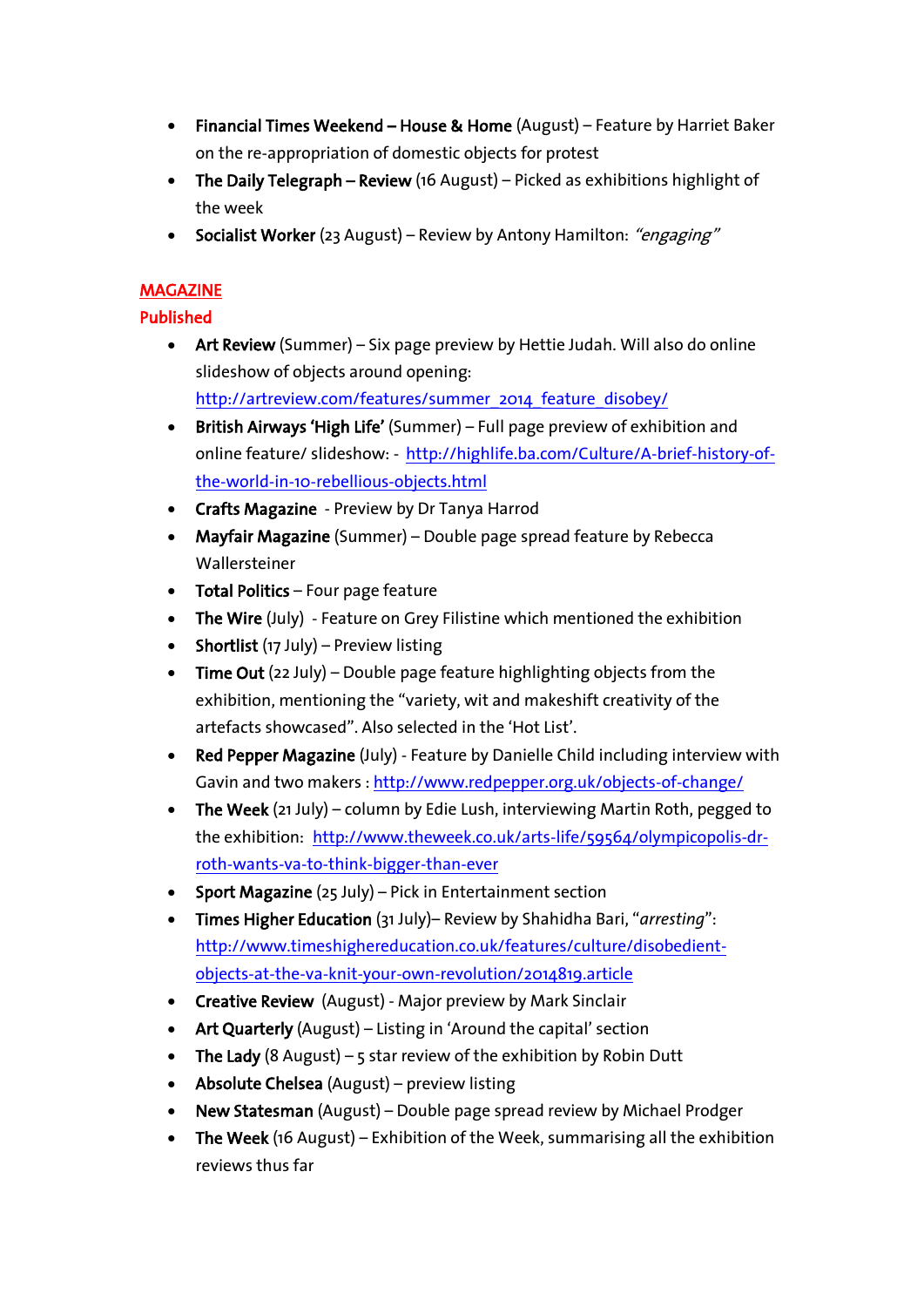- Financial Times Weekend House & Home (August) Feature by Harriet Baker on the re-appropriation of domestic objects for protest
- The Daily Telegraph Review (16 August) Picked as exhibitions highlight of the week
- Socialist Worker (23 August) Review by Antony Hamilton: "engaging"

### MAGAZINE

### Published

- Art Review (Summer) Six page preview by Hettie Judah. Will also do online slideshow of objects around opening: [http://artreview.com/features/summer\\_2014\\_feature\\_disobey/](http://artreview.com/features/summer_2014_feature_disobey/)
- British Airways 'High Life' (Summer) Full page preview of exhibition and online feature/ slideshow: - [http://highlife.ba.com/Culture/A-brief-history-of](http://highlife.ba.com/Culture/A-brief-history-of-the-world-in-10-rebellious-objects.html)[the-world-in-10-rebellious-objects.html](http://highlife.ba.com/Culture/A-brief-history-of-the-world-in-10-rebellious-objects.html)
- Crafts Magazine Preview by Dr Tanya Harrod
- Mayfair Magazine (Summer) Double page spread feature by Rebecca Wallersteiner
- Total Politics Four page feature
- The Wire (July) Feature on Grey Filistine which mentioned the exhibition
- Shortlist  $(17 \text{ July})$  Preview listing
- Time Out (22 July) Double page feature highlighting objects from the exhibition, mentioning the "variety, wit and makeshift creativity of the artefacts showcased". Also selected in the 'Hot List'.
- Red Pepper Magazine (July) Feature by Danielle Child including interview with Gavin and two makers [: http://www.redpepper.org.uk/objects-of-change/](http://www.redpepper.org.uk/objects-of-change/)
- The Week (21 July) column by Edie Lush, interviewing Martin Roth, pegged to the exhibition: [http://www.theweek.co.uk/arts-life/59564/olympicopolis-dr](http://www.theweek.co.uk/arts-life/59564/olympicopolis-dr-roth-wants-va-to-think-bigger-than-ever)[roth-wants-va-to-think-bigger-than-ever](http://www.theweek.co.uk/arts-life/59564/olympicopolis-dr-roth-wants-va-to-think-bigger-than-ever)
- Sport Magazine (25 July) Pick in Entertainment section
- Times Higher Education (31 July)– Review by Shahidha Bari, "*arresting*": [http://www.timeshighereducation.co.uk/features/culture/disobedient](http://www.timeshighereducation.co.uk/features/culture/disobedient-objects-at-the-va-knit-your-own-revolution/2014819.article)[objects-at-the-va-knit-your-own-revolution/2014819.article](http://www.timeshighereducation.co.uk/features/culture/disobedient-objects-at-the-va-knit-your-own-revolution/2014819.article)
- Creative Review (August) Major preview by Mark Sinclair
- Art Quarterly (August) Listing in 'Around the capital' section
- The Lady (8 August) 5 star review of the exhibition by Robin Dutt
- Absolute Chelsea (August) preview listing
- New Statesman (August) Double page spread review by Michael Prodger
- The Week (16 August) Exhibition of the Week, summarising all the exhibition reviews thus far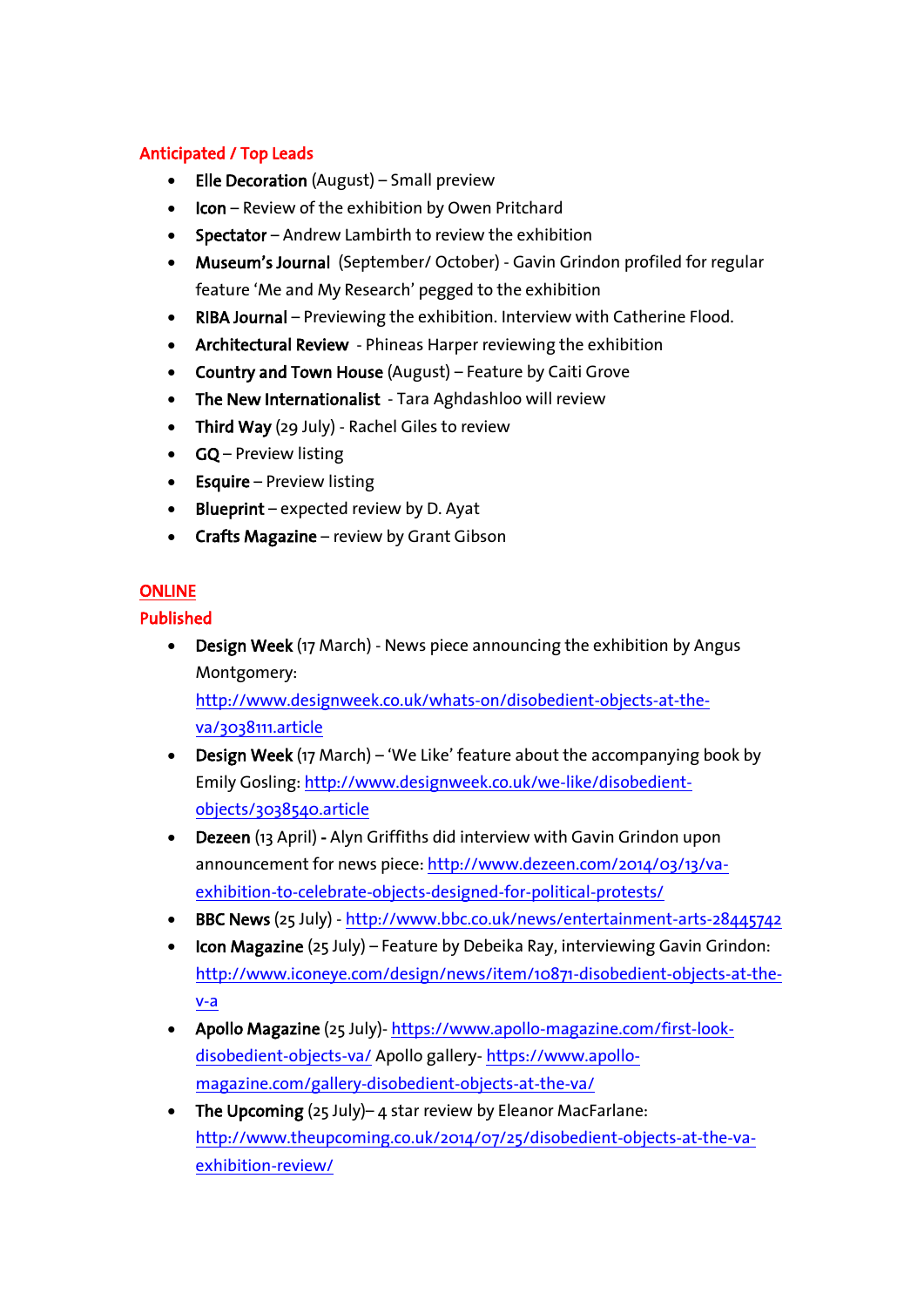### Anticipated / Top Leads

- Elle Decoration (August) Small preview
- Icon Review of the exhibition by Owen Pritchard
- Spectator Andrew Lambirth to review the exhibition
- Museum's Journal (September/ October) Gavin Grindon profiled for regular feature 'Me and My Research' pegged to the exhibition
- RIBA Journal Previewing the exhibition. Interview with Catherine Flood.
- Architectural Review Phineas Harper reviewing the exhibition
- Country and Town House (August) Feature by Caiti Grove
- The New Internationalist Tara Aghdashloo will review
- Third Way (29 July) Rachel Giles to review
- **GQ** Preview listing
- $\bullet$  Esquire Preview listing
- $\bullet$  Blueprint expected review by D. Ayat
- Crafts Magazine review by Grant Gibson

#### **ONLINE**

#### Published

• Design Week (17 March) - News piece announcing the exhibition by Angus Montgomery: [http://www.designweek.co.uk/whats-on/disobedient-objects-at-the-](http://www.designweek.co.uk/whats-on/disobedient-objects-at-the-va/3038111.article)

[va/3038111.article](http://www.designweek.co.uk/whats-on/disobedient-objects-at-the-va/3038111.article)

- Design Week (17 March) 'We Like' feature about the accompanying book by Emily Gosling: [http://www.designweek.co.uk/we-like/disobedient](http://www.designweek.co.uk/we-like/disobedient-objects/3038540.article)[objects/3038540.article](http://www.designweek.co.uk/we-like/disobedient-objects/3038540.article)
- Dezeen (13 April) Alyn Griffiths did interview with Gavin Grindon upon announcement for news piece[: http://www.dezeen.com/2014/03/13/va](http://www.dezeen.com/2014/03/13/va-exhibition-to-celebrate-objects-designed-for-political-protests/)[exhibition-to-celebrate-objects-designed-for-political-protests/](http://www.dezeen.com/2014/03/13/va-exhibition-to-celebrate-objects-designed-for-political-protests/)
- BBC News (25 July) <http://www.bbc.co.uk/news/entertainment-arts-28445742>
- Icon Magazine (25 July) Feature by Debeika Ray, interviewing Gavin Grindon: [http://www.iconeye.com/design/news/item/10871-disobedient-objects-at-the](http://www.iconeye.com/design/news/item/10871-disobedient-objects-at-the-v-a)[v-a](http://www.iconeye.com/design/news/item/10871-disobedient-objects-at-the-v-a)
- Apollo Magazine (25 July)- [https://www.apollo-magazine.com/first-look](https://www.apollo-magazine.com/first-look-disobedient-objects-va/)[disobedient-objects-va/](https://www.apollo-magazine.com/first-look-disobedient-objects-va/) Apollo gallery- [https://www.apollo](https://www.apollo-magazine.com/gallery-disobedient-objects-at-the-va/)[magazine.com/gallery-disobedient-objects-at-the-va/](https://www.apollo-magazine.com/gallery-disobedient-objects-at-the-va/)
- The Upcoming (25 July)– 4 star review by Eleanor MacFarlane: [http://www.theupcoming.co.uk/2014/07/25/disobedient-objects-at-the-va](http://www.theupcoming.co.uk/2014/07/25/disobedient-objects-at-the-va-exhibition-review/)[exhibition-review/](http://www.theupcoming.co.uk/2014/07/25/disobedient-objects-at-the-va-exhibition-review/)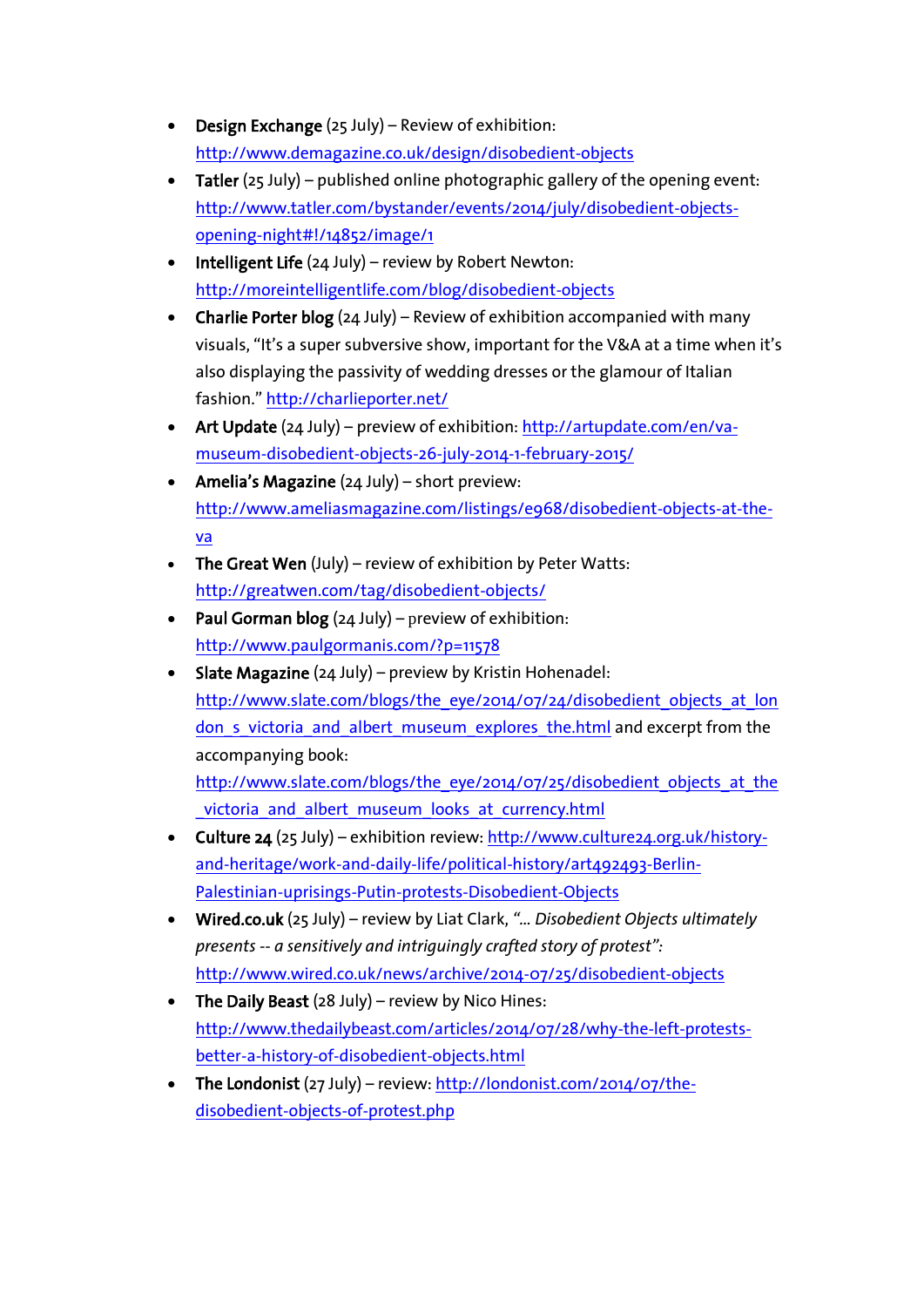- Design Exchange (25 July) Review of exhibition: <http://www.demagazine.co.uk/design/disobedient-objects>
- Tatler (25 July) published online photographic gallery of the opening event: [http://www.tatler.com/bystander/events/2014/july/disobedient-objects](http://www.tatler.com/bystander/events/2014/july/disobedient-objects-opening-night#!/14852/image/1)[opening-night#!/14852/image/1](http://www.tatler.com/bystander/events/2014/july/disobedient-objects-opening-night#!/14852/image/1)
- $\bullet$  Intelligent Life (24 July) review by Robert Newton: <http://moreintelligentlife.com/blog/disobedient-objects>
- Charlie Porter blog  $(24 \text{ July})$  Review of exhibition accompanied with many visuals, "It's a super subversive show, important for the V&A at a time when it's also displaying the passivity of wedding dresses or the glamour of Italian fashion." <http://charlieporter.net/>
- Art Update (24 July) preview of exhibition[: http://artupdate.com/en/va](http://artupdate.com/en/va-museum-disobedient-objects-26-july-2014-1-february-2015/)[museum-disobedient-objects-26-july-2014-1-february-2015/](http://artupdate.com/en/va-museum-disobedient-objects-26-july-2014-1-february-2015/)
- Amelia's Magazine (24 July) short preview: [http://www.ameliasmagazine.com/listings/e968/disobedient-objects-at-the](http://www.ameliasmagazine.com/listings/e968/disobedient-objects-at-the-va)[va](http://www.ameliasmagazine.com/listings/e968/disobedient-objects-at-the-va)
- The Great Wen (July) review of exhibition by Peter Watts: <http://greatwen.com/tag/disobedient-objects/>
- Paul Gorman blog  $(24 \text{ July})$  preview of exhibition: <http://www.paulgormanis.com/?p=11578>
- Slate Magazine (24 July) preview by Kristin Hohenadel: [http://www.slate.com/blogs/the\\_eye/2014/07/24/disobedient\\_objects\\_at\\_lon](http://www.slate.com/blogs/the_eye/2014/07/24/disobedient_objects_at_london_s_victoria_and_albert_museum_explores_the.html) don s victoria and albert museum explores the.html and excerpt from the accompanying book: [http://www.slate.com/blogs/the\\_eye/2014/07/25/disobedient\\_objects\\_at\\_the](http://www.slate.com/blogs/the_eye/2014/07/25/disobedient_objects_at_the_victoria_and_albert_museum_looks_at_currency.html)

victoria and albert museum looks at currency.html

- Culture 24 (25 July) exhibition review: [http://www.culture24.org.uk/history](http://www.culture24.org.uk/history-and-heritage/work-and-daily-life/political-history/art492493-Berlin-Palestinian-uprisings-Putin-protests-Disobedient-Objects)[and-heritage/work-and-daily-life/political-history/art492493-Berlin-](http://www.culture24.org.uk/history-and-heritage/work-and-daily-life/political-history/art492493-Berlin-Palestinian-uprisings-Putin-protests-Disobedient-Objects)[Palestinian-uprisings-Putin-protests-Disobedient-Objects](http://www.culture24.org.uk/history-and-heritage/work-and-daily-life/political-history/art492493-Berlin-Palestinian-uprisings-Putin-protests-Disobedient-Objects)
- Wired.co.uk (25 July) review by Liat Clark, *"… Disobedient Objects ultimately presents -- a sensitively and intriguingly crafted story of protest":*  <http://www.wired.co.uk/news/archive/2014-07/25/disobedient-objects>
- The Daily Beast  $(28 \text{ July})$  review by Nico Hines: [http://www.thedailybeast.com/articles/2014/07/28/why-the-left-protests](http://www.thedailybeast.com/articles/2014/07/28/why-the-left-protests-better-a-history-of-disobedient-objects.html)[better-a-history-of-disobedient-objects.html](http://www.thedailybeast.com/articles/2014/07/28/why-the-left-protests-better-a-history-of-disobedient-objects.html)
- The Londonist (27 July) review[: http://londonist.com/2014/07/the](http://londonist.com/2014/07/the-disobedient-objects-of-protest.php)[disobedient-objects-of-protest.php](http://londonist.com/2014/07/the-disobedient-objects-of-protest.php)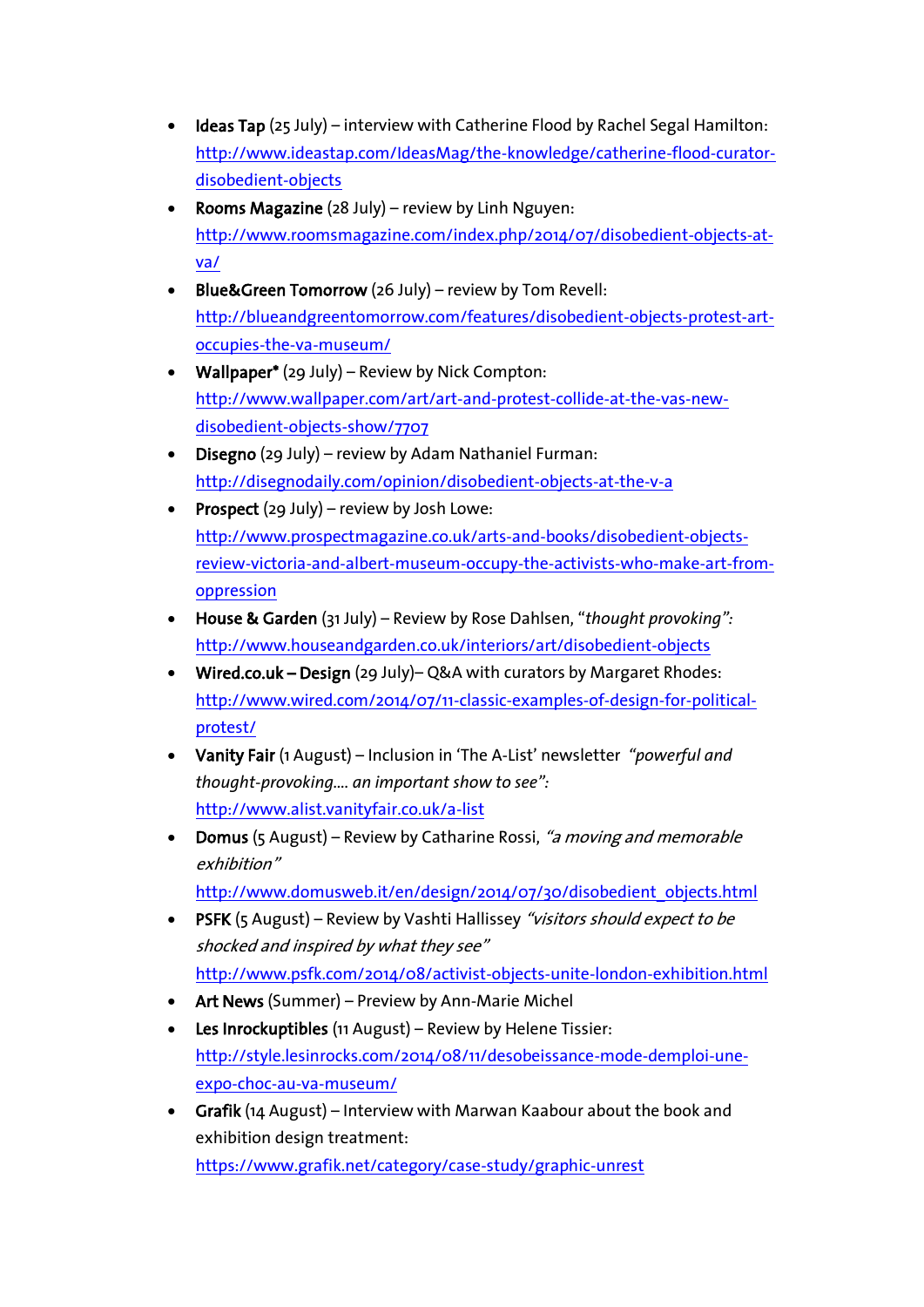- Ideas Tap (25 July) interview with Catherine Flood by Rachel Segal Hamilton: [http://www.ideastap.com/IdeasMag/the-knowledge/catherine-flood-curator](http://www.ideastap.com/IdeasMag/the-knowledge/catherine-flood-curator-disobedient-objects)[disobedient-objects](http://www.ideastap.com/IdeasMag/the-knowledge/catherine-flood-curator-disobedient-objects)
- Rooms Magazine (28 July) review by Linh Nguyen: [http://www.roomsmagazine.com/index.php/2014/07/disobedient-objects-at](http://www.roomsmagazine.com/index.php/2014/07/disobedient-objects-at-va/)[va/](http://www.roomsmagazine.com/index.php/2014/07/disobedient-objects-at-va/)
- Blue&Green Tomorrow (26 July) review by Tom Revell: [http://blueandgreentomorrow.com/features/disobedient-objects-protest-art](http://blueandgreentomorrow.com/features/disobedient-objects-protest-art-occupies-the-va-museum/)[occupies-the-va-museum/](http://blueandgreentomorrow.com/features/disobedient-objects-protest-art-occupies-the-va-museum/)
- Wallpaper\* (29 July) Review by Nick Compton: [http://www.wallpaper.com/art/art-and-protest-collide-at-the-vas-new](http://www.wallpaper.com/art/art-and-protest-collide-at-the-vas-new-disobedient-objects-show/7707)[disobedient-objects-show/7707](http://www.wallpaper.com/art/art-and-protest-collide-at-the-vas-new-disobedient-objects-show/7707)
- Disegno (29 July) review by Adam Nathaniel Furman: <http://disegnodaily.com/opinion/disobedient-objects-at-the-v-a>
- Prospect (29 July) review by Josh Lowe: [http://www.prospectmagazine.co.uk/arts-and-books/disobedient-objects](http://www.prospectmagazine.co.uk/arts-and-books/disobedient-objects-review-victoria-and-albert-museum-occupy-the-activists-who-make-art-from-oppression)[review-victoria-and-albert-museum-occupy-the-activists-who-make-art-from](http://www.prospectmagazine.co.uk/arts-and-books/disobedient-objects-review-victoria-and-albert-museum-occupy-the-activists-who-make-art-from-oppression)[oppression](http://www.prospectmagazine.co.uk/arts-and-books/disobedient-objects-review-victoria-and-albert-museum-occupy-the-activists-who-make-art-from-oppression)
- House & Garden (31 July) Review by Rose Dahlsen, "*thought provoking":* <http://www.houseandgarden.co.uk/interiors/art/disobedient-objects>
- Wired.co.uk Design (29 July)– Q&A with curators by Margaret Rhodes: [http://www.wired.com/2014/07/11-classic-examples-of-design-for-political](http://www.wired.com/2014/07/11-classic-examples-of-design-for-political-protest/)[protest/](http://www.wired.com/2014/07/11-classic-examples-of-design-for-political-protest/)
- Vanity Fair (1 August) Inclusion in 'The A-List' newsletter *"powerful and thought-provoking…. an important show to see":* <http://www.alist.vanityfair.co.uk/a-list>
- Domus (5 August) Review by Catharine Rossi, "a moving and memorable exhibition" [http://www.domusweb.it/en/design/2014/07/30/disobedient\\_objects.html](http://www.domusweb.it/en/design/2014/07/30/disobedient_objects.html)
- PSFK (5 August) Review by Vashti Hallissey "visitors should expect to be shocked and inspired by what they see" <http://www.psfk.com/2014/08/activist-objects-unite-london-exhibition.html>
- Art News (Summer) Preview by Ann-Marie Michel
- Les Inrockuptibles (11 August) Review by Helene Tissier: [http://style.lesinrocks.com/2014/08/11/desobeissance-mode-demploi-une](http://style.lesinrocks.com/2014/08/11/desobeissance-mode-demploi-une-expo-choc-au-va-museum/)[expo-choc-au-va-museum/](http://style.lesinrocks.com/2014/08/11/desobeissance-mode-demploi-une-expo-choc-au-va-museum/)
- Grafik (14 August) Interview with Marwan Kaabour about the book and exhibition design treatment: <https://www.grafik.net/category/case-study/graphic-unrest>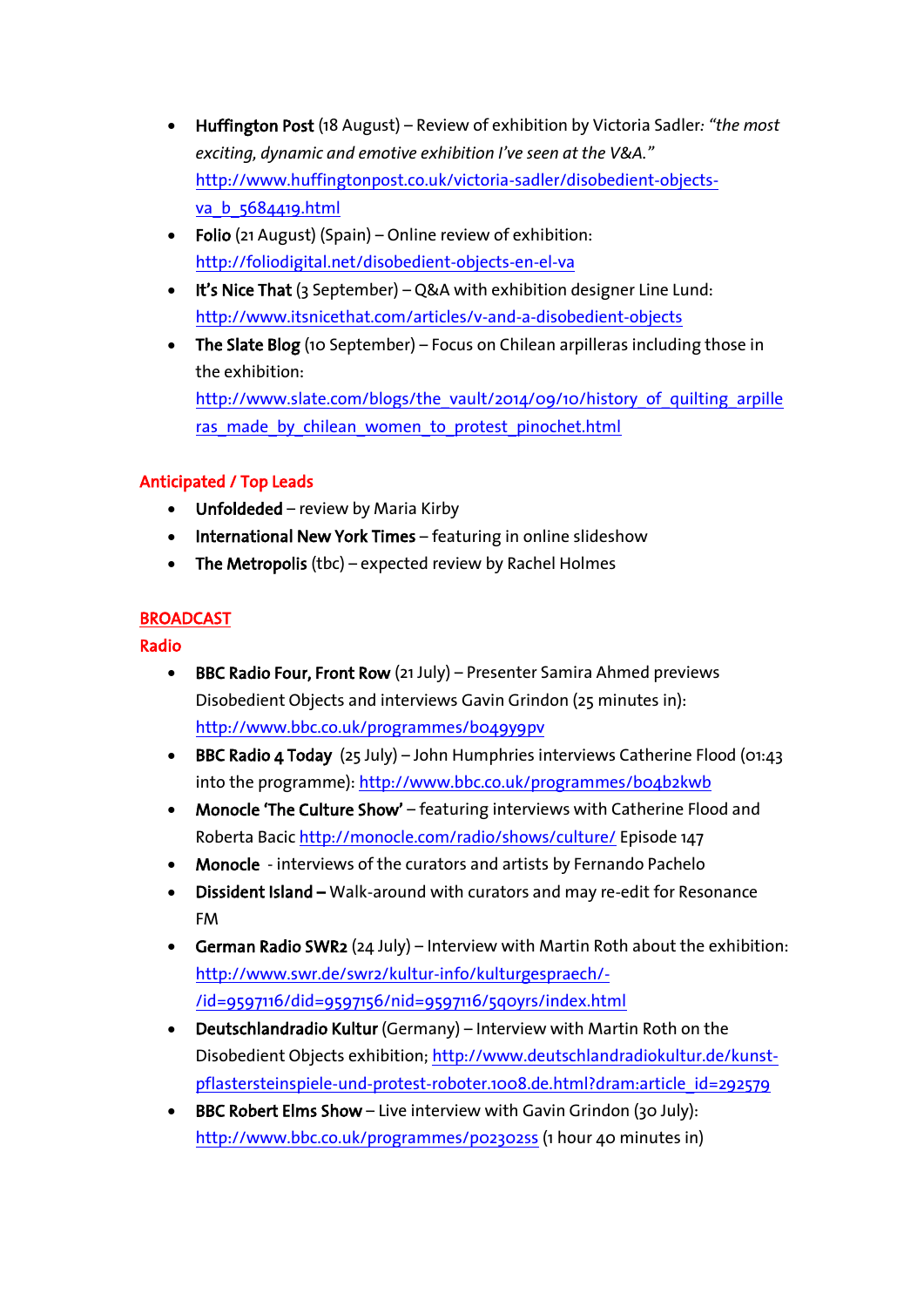- Huffington Post (18 August) Review of exhibition by Victoria Sadler*: "the most exciting, dynamic and emotive exhibition I've seen at the V&A."* [http://www.huffingtonpost.co.uk/victoria-sadler/disobedient-objects](http://www.huffingtonpost.co.uk/victoria-sadler/disobedient-objects-va_b_5684419.html)[va\\_b\\_5684419.html](http://www.huffingtonpost.co.uk/victoria-sadler/disobedient-objects-va_b_5684419.html)
- Folio (21 August) (Spain) Online review of exhibition: <http://foliodigital.net/disobedient-objects-en-el-va>
- It's Nice That (3 September) Q&A with exhibition designer Line Lund: <http://www.itsnicethat.com/articles/v-and-a-disobedient-objects>
- The Slate Blog (10 September) Focus on Chilean arpilleras including those in the exhibition: [http://www.slate.com/blogs/the\\_vault/2014/09/10/history\\_of\\_quilting\\_arpille](http://www.slate.com/blogs/the_vault/2014/09/10/history_of_quilting_arpilleras_made_by_chilean_women_to_protest_pinochet.html) ras made by chilean women to protest pinochet.html

### Anticipated / Top Leads

- Unfoldeded review by Maria Kirby
- International New York Times featuring in online slideshow
- The Metropolis (tbc) expected review by Rachel Holmes

### **BROADCAST**

### Radio

- BBC Radio Four, Front Row (21 July) Presenter Samira Ahmed previews Disobedient Objects and interviews Gavin Grindon (25 minutes in): <http://www.bbc.co.uk/programmes/b049y9pv>
- BBC Radio 4 Today (25 July) John Humphries interviews Catherine Flood (01:43 into the programme): <http://www.bbc.co.uk/programmes/b04b2kwb>
- Monocle 'The Culture Show' featuring interviews with Catherine Flood and Roberta Bacic <http://monocle.com/radio/shows/culture/> Episode 147
- Monocle interviews of the curators and artists by Fernando Pachelo
- Dissident Island Walk-around with curators and may re-edit for Resonance FM
- German Radio SWR2 (24 July) Interview with Martin Roth about the exhibition: [http://www.swr.de/swr2/kultur-info/kulturgespraech/-](http://www.swr.de/swr2/kultur-info/kulturgespraech/-/id=9597116/did=9597156/nid=9597116/5q0yrs/index.html) [/id=9597116/did=9597156/nid=9597116/5q0yrs/index.html](http://www.swr.de/swr2/kultur-info/kulturgespraech/-/id=9597116/did=9597156/nid=9597116/5q0yrs/index.html)
- Deutschlandradio Kultur (Germany) Interview with Martin Roth on the Disobedient Objects exhibition[; http://www.deutschlandradiokultur.de/kunst](http://www.deutschlandradiokultur.de/kunst-pflastersteinspiele-und-protest-roboter.1008.de.html?dram:article_id=292579)[pflastersteinspiele-und-protest-roboter.1008.de.html?dram:article\\_id=292579](http://www.deutschlandradiokultur.de/kunst-pflastersteinspiele-und-protest-roboter.1008.de.html?dram:article_id=292579)
- BBC Robert Elms Show Live interview with Gavin Grindon (30 July): <http://www.bbc.co.uk/programmes/p02302ss> (1 hour 40 minutes in)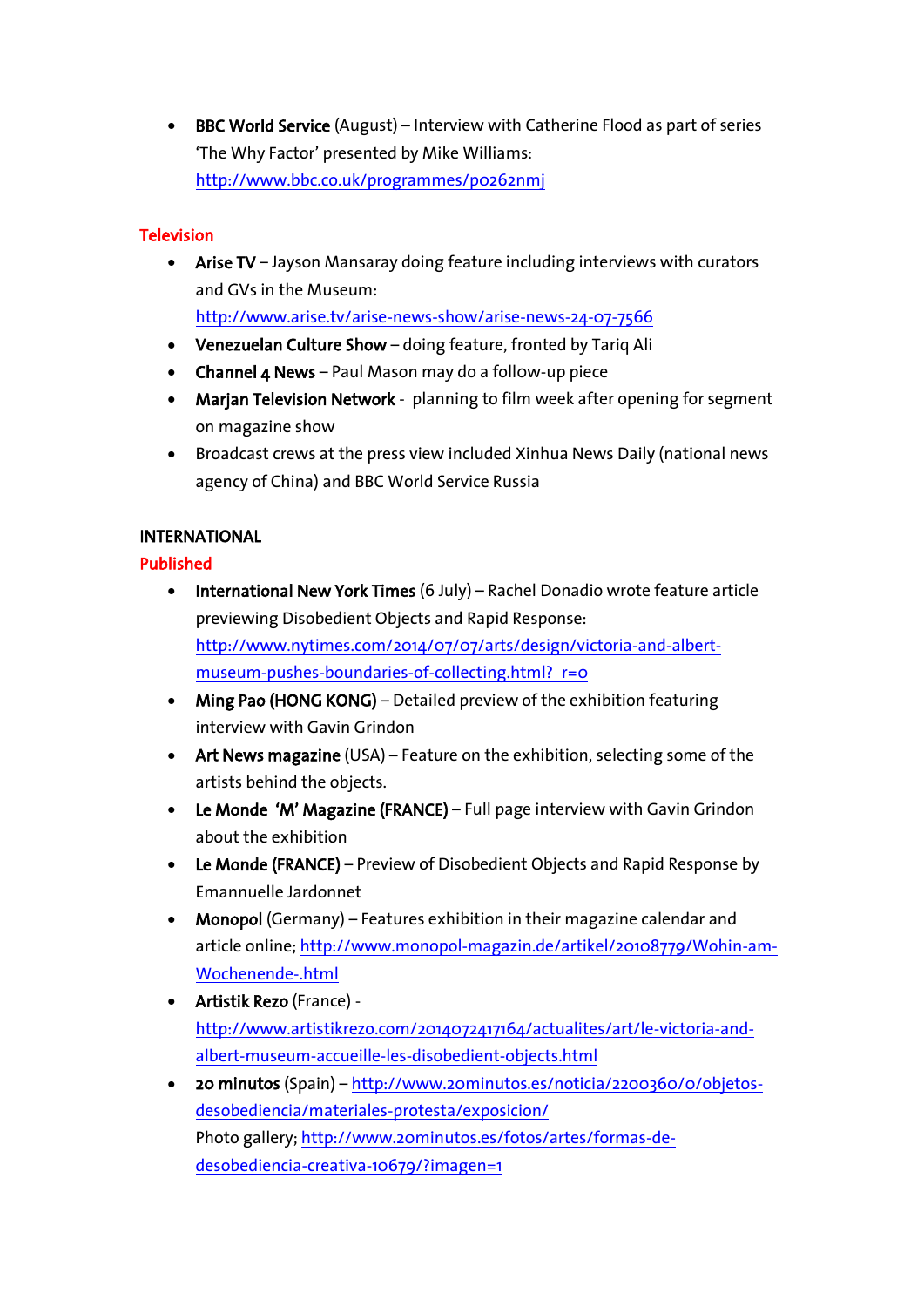• BBC World Service (August) – Interview with Catherine Flood as part of series 'The Why Factor' presented by Mike Williams: <http://www.bbc.co.uk/programmes/p0262nmj>

### **Television**

• Arise TV – Jayson Mansaray doing feature including interviews with curators and GVs in the Museum:

<http://www.arise.tv/arise-news-show/arise-news-24-07-7566>

- Venezuelan Culture Show doing feature, fronted by Tariq Ali
- Channel  $4$  News Paul Mason may do a follow-up piece
- Marjan Television Network planning to film week after opening for segment on magazine show
- Broadcast crews at the press view included Xinhua News Daily (national news agency of China) and BBC World Service Russia

### INTERNATIONAL

### Published

- International New York Times (6 July) Rachel Donadio wrote feature article previewing Disobedient Objects and Rapid Response: [http://www.nytimes.com/2014/07/07/arts/design/victoria-and-albert](http://www.nytimes.com/2014/07/07/arts/design/victoria-and-albert-museum-pushes-boundaries-of-collecting.html?_r=0)museum-pushes-boundaries-of-collecting.html? r=0
- Ming Pao (HONG KONG) Detailed preview of the exhibition featuring interview with Gavin Grindon
- Art News magazine (USA) Feature on the exhibition, selecting some of the artists behind the objects.
- Le Monde 'M' Magazine (FRANCE) Full page interview with Gavin Grindon about the exhibition
- Le Monde (FRANCE) Preview of Disobedient Objects and Rapid Response by Emannuelle Jardonnet
- Monopol (Germany) Features exhibition in their magazine calendar and article online[; http://www.monopol-magazin.de/artikel/20108779/Wohin-am-](http://www.monopol-magazin.de/artikel/20108779/Wohin-am-Wochenende-.html)[Wochenende-.html](http://www.monopol-magazin.de/artikel/20108779/Wohin-am-Wochenende-.html)
- Artistik Rezo (France) [http://www.artistikrezo.com/2014072417164/actualites/art/le-victoria-and](http://www.artistikrezo.com/2014072417164/actualites/art/le-victoria-and-albert-museum-accueille-les-disobedient-objects.html)[albert-museum-accueille-les-disobedient-objects.html](http://www.artistikrezo.com/2014072417164/actualites/art/le-victoria-and-albert-museum-accueille-les-disobedient-objects.html)
- 20 minutos (Spain) [http://www.20minutos.es/noticia/2200360/0/objetos](http://www.20minutos.es/noticia/2200360/0/objetos-desobediencia/materiales-protesta/exposicion/)[desobediencia/materiales-protesta/exposicion/](http://www.20minutos.es/noticia/2200360/0/objetos-desobediencia/materiales-protesta/exposicion/) Photo gallery; [http://www.20minutos.es/fotos/artes/formas-de](http://www.20minutos.es/fotos/artes/formas-de-desobediencia-creativa-10679/?imagen=1)[desobediencia-creativa-10679/?imagen=1](http://www.20minutos.es/fotos/artes/formas-de-desobediencia-creativa-10679/?imagen=1)